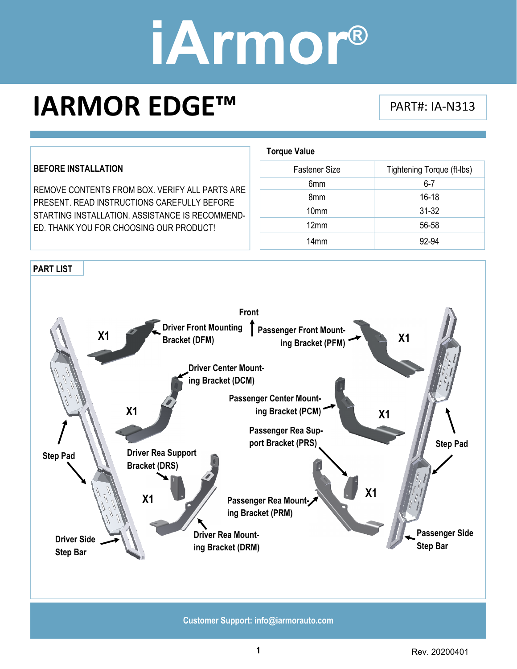**Torque Value** 

### **IARMOR EDGE™** PART#: IA-N313

#### **BEFORE INSTALLATION**

REMOVE CONTENTS FROM BOX. VERIFY ALL PARTS ARE PRESENT. READ INSTRUCTIONS CAREFULLY BEFORE STARTING INSTALLATION. ASSISTANCE IS RECOMMEND-ED. THANK YOU FOR CHOOSING OUR PRODUCT!

| <b>Fastener Size</b> | Tightening Torque (ft-Ibs) |
|----------------------|----------------------------|
| 6mm                  | $6 - 7$                    |
| 8 <sub>mm</sub>      | $16 - 18$                  |
| 10 <sub>mm</sub>     | $31 - 32$                  |
| 12mm                 | 56-58                      |
| 14 <sub>mm</sub>     | 92-94                      |

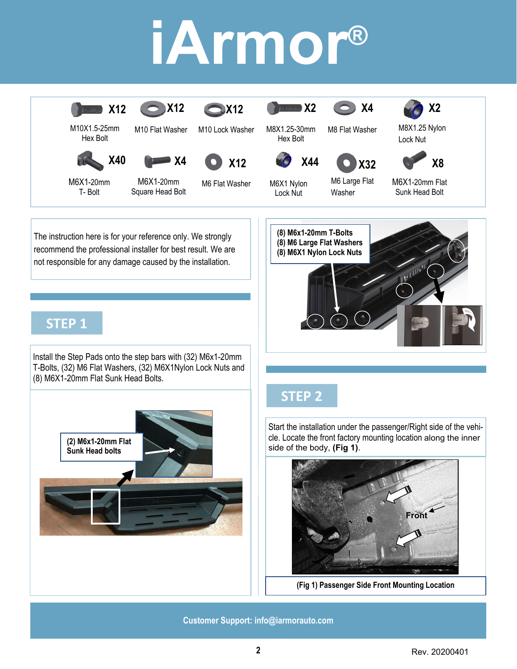

The instruction here is for your reference only. We strongly recommend the professional installer for best result. We are not responsible for any damage caused by the installation.

### **STEP 1**

Install the Step Pads onto the step bars with (32) M6x1-20mm T-Bolts, (32) M6 Flat Washers, (32) M6X1Nylon Lock Nuts and (8) M6X1-20mm Flat Sunk Head Bolts.



#### **STEP 2**

**(8) M6x1-20mm T-Bolts (8) M6 Large Flat Washers (8) M6X1 Nylon Lock Nuts** 

Start the installation under the passenger/Right side of the vehicle. Locate the front factory mounting location along the inner side of the body, **(Fig 1)**.



**(Fig 1) Passenger Side Front Mounting Location**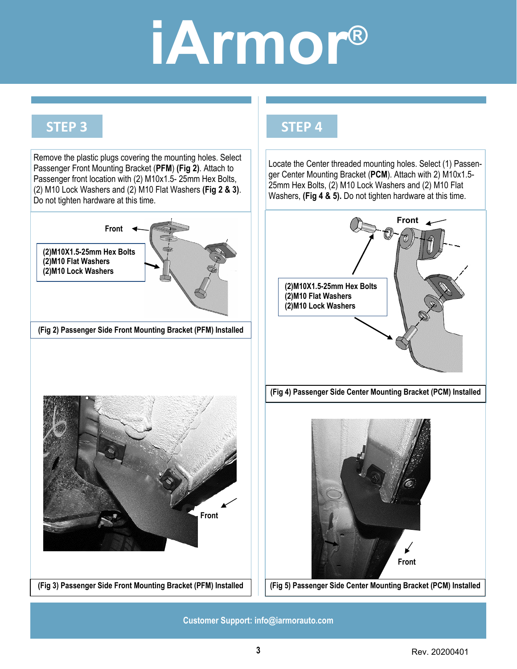**STEP 4**

### **STEP 3**

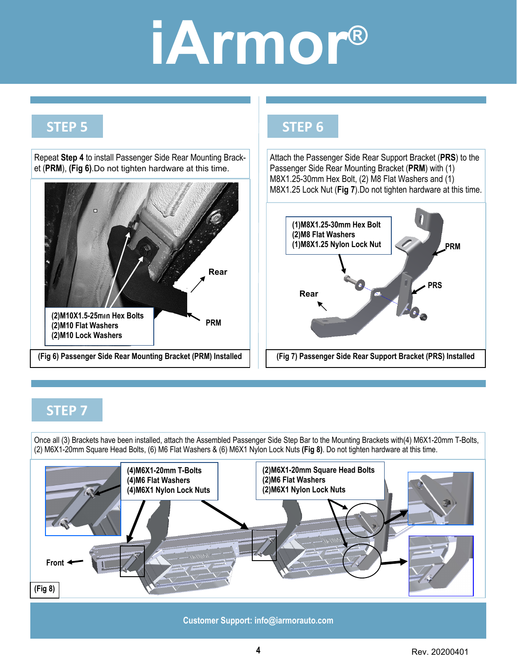### **STEP 5**

Repeat **Step 4** to install Passenger Side Rear Mounting Bracket (**PRM**), **(Fig 6)**.Do not tighten hardware at this time.



#### **STEP 6**

Attach the Passenger Side Rear Support Bracket (**PRS**) to the Passenger Side Rear Mounting Bracket (**PRM**) with (1) M8X1.25-30mm Hex Bolt, (2) M8 Flat Washers and (1) M8X1.25 Lock Nut (**Fig 7**).Do not tighten hardware at this time.



#### **STEP 7**

Once all (3) Brackets have been installed, attach the Assembled Passenger Side Step Bar to the Mounting Brackets with(4) M6X1-20mm T-Bolts, (2) M6X1-20mm Square Head Bolts, (6) M6 Flat Washers & (6) M6X1 Nylon Lock Nuts **(Fig 8)**. Do not tighten hardware at this time.